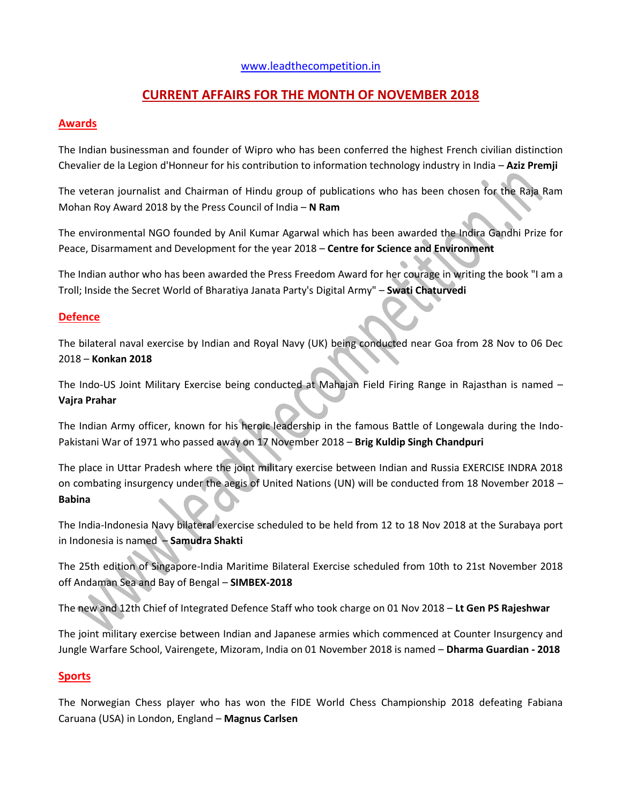## [www.leadthecompetition.in](http://www.leadthecompetition.in/)

# **CURRENT AFFAIRS FOR THE MONTH OF NOVEMBER 2018**

### **Awards**

The Indian businessman and founder of Wipro who has been conferred the highest French civilian distinction Chevalier de la Legion d'Honneur for his contribution to information technology industry in India – **Aziz Premji**

The veteran journalist and Chairman of Hindu group of publications who has been chosen for the Raja Ram Mohan Roy Award 2018 by the Press Council of India – **N Ram**

The environmental NGO founded by Anil Kumar Agarwal which has been awarded the Indira Gandhi Prize for Peace, Disarmament and Development for the year 2018 – **Centre for Science and Environment**

The Indian author who has been awarded the Press Freedom Award for her courage in writing the book "I am a Troll; Inside the Secret World of Bharatiya Janata Party's Digital Army" – **Swati Chaturvedi**

## **Defence**

The bilateral naval exercise by Indian and Royal Navy (UK) being conducted near Goa from 28 Nov to 06 Dec 2018 – **Konkan 2018**

The Indo-US Joint Military Exercise being conducted at Mahajan Field Firing Range in Rajasthan is named – **Vajra Prahar**

The Indian Army officer, known for his heroic leadership in the famous Battle of Longewala during the Indo-Pakistani War of 1971 who passed away on 17 November 2018 – **Brig Kuldip Singh Chandpuri**

The place in Uttar Pradesh where the joint military exercise between Indian and Russia EXERCISE INDRA 2018 on combating insurgency under the aegis of United Nations (UN) will be conducted from 18 November 2018 – **Babina**

The India-Indonesia Navy bilateral exercise scheduled to be held from 12 to 18 Nov 2018 at the Surabaya port in Indonesia is named – **Samudra Shakti**

The 25th edition of Singapore-India Maritime Bilateral Exercise scheduled from 10th to 21st November 2018 off Andaman Sea and Bay of Bengal – **SIMBEX-2018**

The new and 12th Chief of Integrated Defence Staff who took charge on 01 Nov 2018 – **Lt Gen PS Rajeshwar**

The joint military exercise between Indian and Japanese armies which commenced at Counter Insurgency and Jungle Warfare School, Vairengete, Mizoram, India on 01 November 2018 is named – **Dharma Guardian - 2018**

### **Sports**

The Norwegian Chess player who has won the FIDE World Chess Championship 2018 defeating Fabiana Caruana (USA) in London, England – **Magnus Carlsen**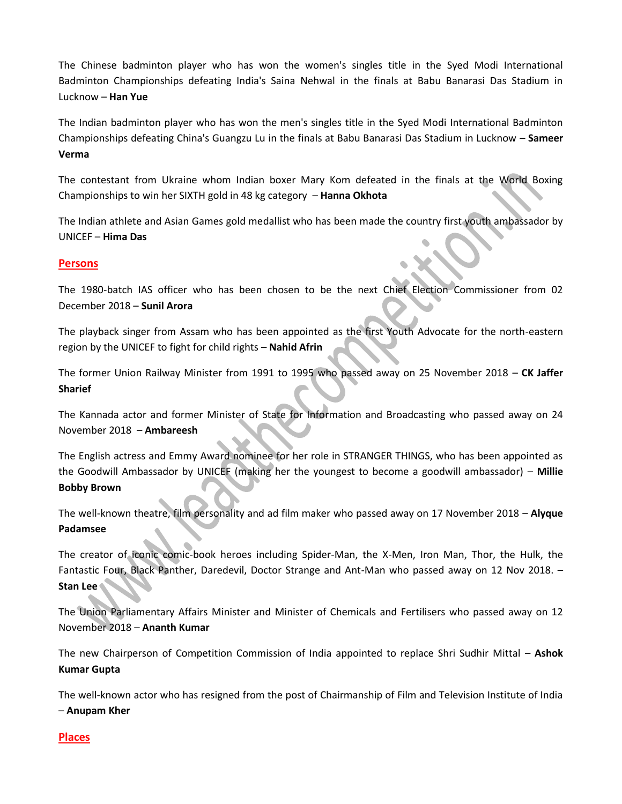The Chinese badminton player who has won the women's singles title in the Syed Modi International Badminton Championships defeating India's Saina Nehwal in the finals at Babu Banarasi Das Stadium in Lucknow – **Han Yue**

The Indian badminton player who has won the men's singles title in the Syed Modi International Badminton Championships defeating China's Guangzu Lu in the finals at Babu Banarasi Das Stadium in Lucknow – **Sameer Verma**

The contestant from Ukraine whom Indian boxer Mary Kom defeated in the finals at the World Boxing Championships to win her SIXTH gold in 48 kg category – **Hanna Okhota**

The Indian athlete and Asian Games gold medallist who has been made the country first youth ambassador by UNICEF – **Hima Das**

## **Persons**

The 1980-batch IAS officer who has been chosen to be the next Chief Election Commissioner from 02 December 2018 – **Sunil Arora**

The playback singer from Assam who has been appointed as the first Youth Advocate for the north-eastern region by the UNICEF to fight for child rights – **Nahid Afrin**

The former Union Railway Minister from 1991 to 1995 who passed away on 25 November 2018 – **CK Jaffer Sharief**

The Kannada actor and former Minister of State for Information and Broadcasting who passed away on 24 November 2018 – **Ambareesh**

The English actress and Emmy Award nominee for her role in STRANGER THINGS, who has been appointed as the Goodwill Ambassador by UNICEF (making her the youngest to become a goodwill ambassador) – **Millie Bobby Brown**

The well-known theatre, film personality and ad film maker who passed away on 17 November 2018 – **Alyque Padamsee**

The creator of iconic comic-book heroes including Spider-Man, the X-Men, Iron Man, Thor, the Hulk, the Fantastic Four, Black Panther, Daredevil, Doctor Strange and Ant-Man who passed away on 12 Nov 2018. – **Stan Lee**

The Union Parliamentary Affairs Minister and Minister of Chemicals and Fertilisers who passed away on 12 November 2018 – **Ananth Kumar**

The new Chairperson of Competition Commission of India appointed to replace Shri Sudhir Mittal – **Ashok Kumar Gupta**

The well-known actor who has resigned from the post of Chairmanship of Film and Television Institute of India – **Anupam Kher**

### **Places**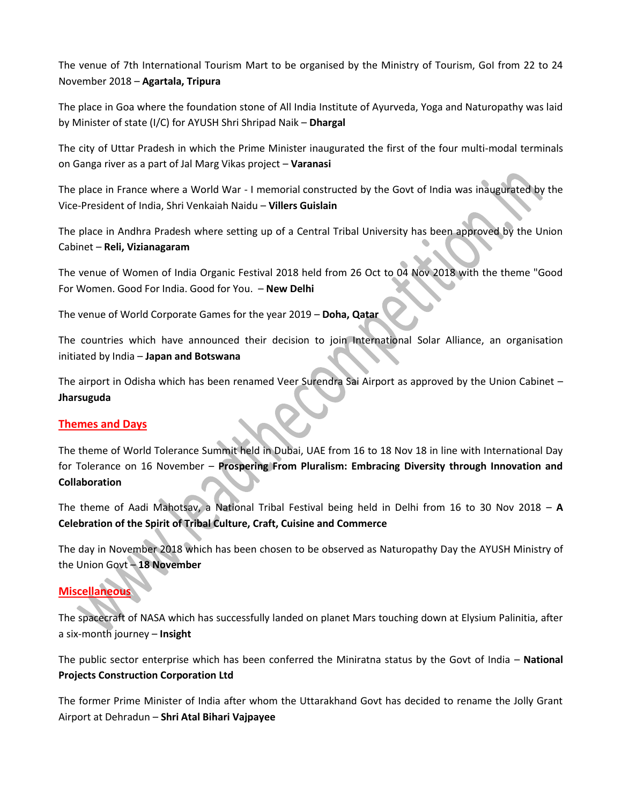The venue of 7th International Tourism Mart to be organised by the Ministry of Tourism, GoI from 22 to 24 November 2018 – **Agartala, Tripura**

The place in Goa where the foundation stone of All India Institute of Ayurveda, Yoga and Naturopathy was laid by Minister of state (I/C) for AYUSH Shri Shripad Naik – **Dhargal**

The city of Uttar Pradesh in which the Prime Minister inaugurated the first of the four multi-modal terminals on Ganga river as a part of Jal Marg Vikas project – **Varanasi**

The place in France where a World War - I memorial constructed by the Govt of India was inaugurated by the Vice-President of India, Shri Venkaiah Naidu – **Villers Guislain**

The place in Andhra Pradesh where setting up of a Central Tribal University has been approved by the Union Cabinet – **Reli, Vizianagaram**

The venue of Women of India Organic Festival 2018 held from 26 Oct to 04 Nov 2018 with the theme "Good For Women. Good For India. Good for You. – **New Delhi**

The venue of World Corporate Games for the year 2019 – **Doha, Qatar**

The countries which have announced their decision to join International Solar Alliance, an organisation initiated by India – **Japan and Botswana**

The airport in Odisha which has been renamed Veer Surendra Sai Airport as approved by the Union Cabinet – **Jharsuguda**

## **Themes and Days**

The theme of World Tolerance Summit held in Dubai, UAE from 16 to 18 Nov 18 in line with International Day for Tolerance on 16 November – **Prospering From Pluralism: Embracing Diversity through Innovation and Collaboration**

The theme of Aadi Mahotsav, a National Tribal Festival being held in Delhi from 16 to 30 Nov 2018 – **A Celebration of the Spirit of Tribal Culture, Craft, Cuisine and Commerce**

The day in November 2018 which has been chosen to be observed as Naturopathy Day the AYUSH Ministry of the Union Govt – **18 November**

## **Miscellaneous**

The spacecraft of NASA which has successfully landed on planet Mars touching down at Elysium Palinitia, after a six-month journey – **Insight**

The public sector enterprise which has been conferred the Miniratna status by the Govt of India – **National Projects Construction Corporation Ltd**

The former Prime Minister of India after whom the Uttarakhand Govt has decided to rename the Jolly Grant Airport at Dehradun – **Shri Atal Bihari Vajpayee**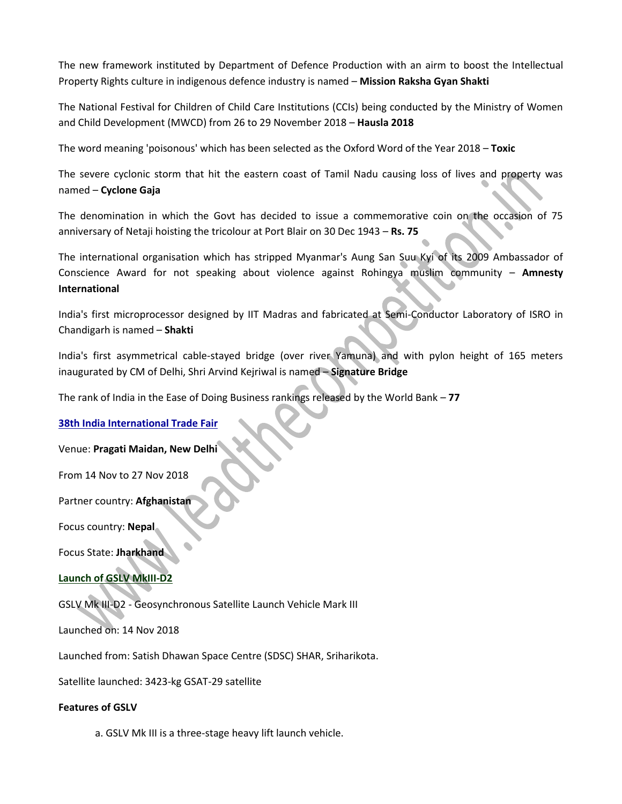The new framework instituted by Department of Defence Production with an airm to boost the Intellectual Property Rights culture in indigenous defence industry is named – **Mission Raksha Gyan Shakti**

The National Festival for Children of Child Care Institutions (CCIs) being conducted by the Ministry of Women and Child Development (MWCD) from 26 to 29 November 2018 – **Hausla 2018**

The word meaning 'poisonous' which has been selected as the Oxford Word of the Year 2018 – **Toxic**

The severe cyclonic storm that hit the eastern coast of Tamil Nadu causing loss of lives and property was named – **Cyclone Gaja**

The denomination in which the Govt has decided to issue a commemorative coin on the occasion of 75 anniversary of Netaji hoisting the tricolour at Port Blair on 30 Dec 1943 – **Rs. 75**

The international organisation which has stripped Myanmar's Aung San Suu Kyi of its 2009 Ambassador of Conscience Award for not speaking about violence against Rohingya muslim community – **Amnesty International**

India's first microprocessor designed by IIT Madras and fabricated at Semi-Conductor Laboratory of ISRO in Chandigarh is named – **Shakti**

India's first asymmetrical cable-stayed bridge (over river Yamuna) and with pylon height of 165 meters inaugurated by CM of Delhi, Shri Arvind Kejriwal is named – **Signature Bridge**

The rank of India in the Ease of Doing Business rankings released by the World Bank – **77**

### **38th India International Trade Fair**

Venue: **Pragati Maidan, New Delhi**

From 14 Nov to 27 Nov 2018

Partner country: **Afghanistan**

Focus country: **Nepal**

Focus State: **Jharkhand**

### **Launch of GSLV MkIII-D2**

GSLV Mk III-D2 - Geosynchronous Satellite Launch Vehicle Mark III

Launched on: 14 Nov 2018

Launched from: Satish Dhawan Space Centre (SDSC) SHAR, Sriharikota.

Satellite launched: 3423-kg GSAT-29 satellite

#### **Features of GSLV**

a. GSLV Mk III is a three-stage heavy lift launch vehicle.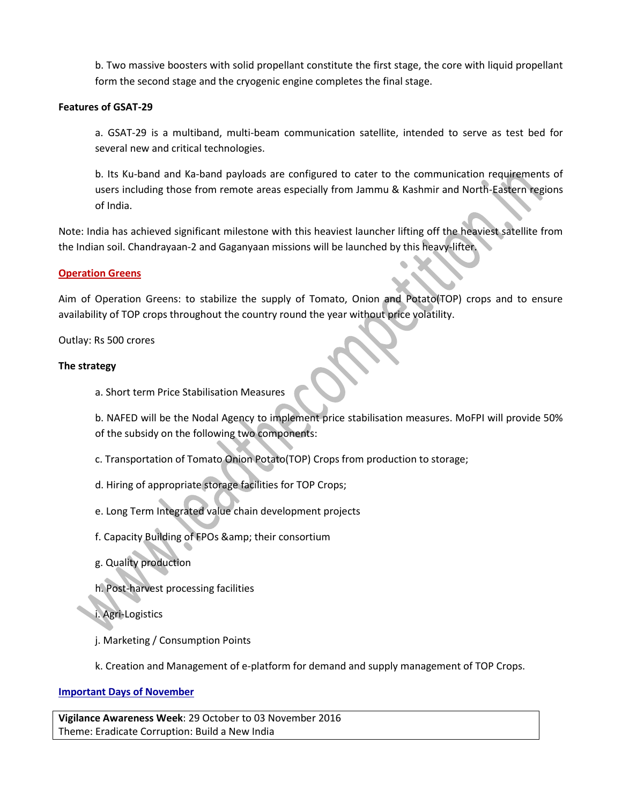b. Two massive boosters with solid propellant constitute the first stage, the core with liquid propellant form the second stage and the cryogenic engine completes the final stage.

#### **Features of GSAT-29**

a. GSAT-29 is a multiband, multi-beam communication satellite, intended to serve as test bed for several new and critical technologies.

b. Its Ku-band and Ka-band payloads are configured to cater to the communication requirements of users including those from remote areas especially from Jammu & Kashmir and North-Eastern regions of India.

Note: India has achieved significant milestone with this heaviest launcher lifting off the heaviest satellite from the Indian soil. Chandrayaan-2 and Gaganyaan missions will be launched by this heavy-lifter.

#### **Operation Greens**

Aim of Operation Greens: to stabilize the supply of Tomato, Onion and Potato(TOP) crops and to ensure availability of TOP crops throughout the country round the year without price volatility.

Outlay: Rs 500 crores

#### **The strategy**

a. Short term Price Stabilisation Measures

b. NAFED will be the Nodal Agency to implement price stabilisation measures. MoFPI will provide 50% of the subsidy on the following two components:

- c. Transportation of Tomato Onion Potato(TOP) Crops from production to storage;
- d. Hiring of appropriate storage facilities for TOP Crops;
- e. Long Term Integrated value chain development projects
- f. Capacity Building of FPOs & amp; their consortium
- g. Quality production

h. Post-harvest processing facilities

i. Agri-Logistics

- j. Marketing / Consumption Points
- k. Creation and Management of e-platform for demand and supply management of TOP Crops.

### **Important Days of November**

**Vigilance Awareness Week**: 29 October to 03 November 2016 Theme: Eradicate Corruption: Build a New India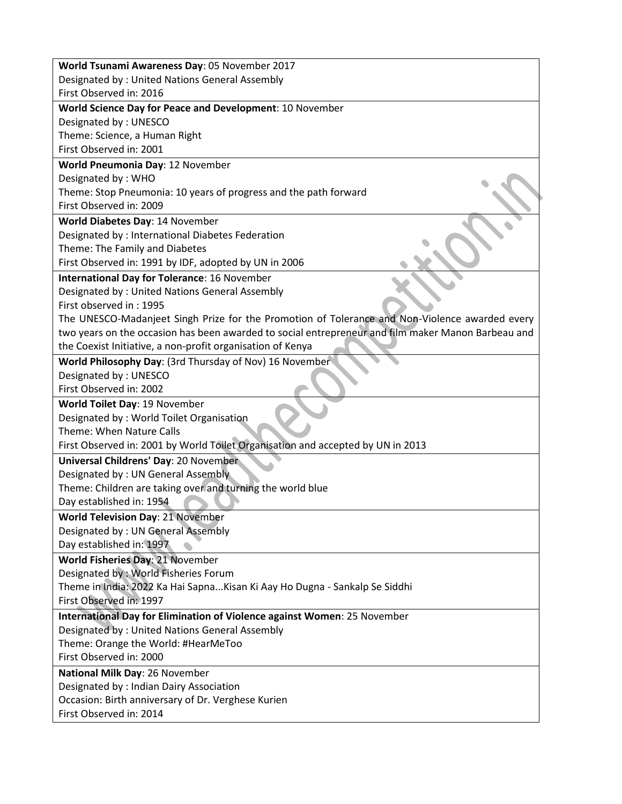| World Tsunami Awareness Day: 05 November 2017                                                      |  |  |
|----------------------------------------------------------------------------------------------------|--|--|
| Designated by: United Nations General Assembly                                                     |  |  |
| First Observed in: 2016                                                                            |  |  |
| World Science Day for Peace and Development: 10 November                                           |  |  |
| Designated by: UNESCO                                                                              |  |  |
| Theme: Science, a Human Right                                                                      |  |  |
| First Observed in: 2001                                                                            |  |  |
|                                                                                                    |  |  |
| World Pneumonia Day: 12 November                                                                   |  |  |
| Designated by: WHO                                                                                 |  |  |
| Theme: Stop Pneumonia: 10 years of progress and the path forward                                   |  |  |
| First Observed in: 2009                                                                            |  |  |
| World Diabetes Day: 14 November                                                                    |  |  |
| Designated by : International Diabetes Federation                                                  |  |  |
| Theme: The Family and Diabetes                                                                     |  |  |
| First Observed in: 1991 by IDF, adopted by UN in 2006                                              |  |  |
| <b>International Day for Tolerance: 16 November</b>                                                |  |  |
| Designated by: United Nations General Assembly                                                     |  |  |
| First observed in: 1995                                                                            |  |  |
| The UNESCO-Madanjeet Singh Prize for the Promotion of Tolerance and Non-Violence awarded every     |  |  |
| two years on the occasion has been awarded to social entrepreneur and film maker Manon Barbeau and |  |  |
| the Coexist Initiative, a non-profit organisation of Kenya                                         |  |  |
| World Philosophy Day: (3rd Thursday of Nov) 16 November                                            |  |  |
| Designated by: UNESCO                                                                              |  |  |
| First Observed in: 2002                                                                            |  |  |
| World Toilet Day: 19 November                                                                      |  |  |
| Designated by: World Toilet Organisation                                                           |  |  |
| Theme: When Nature Calls                                                                           |  |  |
| First Observed in: 2001 by World Toilet Organisation and accepted by UN in 2013                    |  |  |
|                                                                                                    |  |  |
| Universal Childrens' Day: 20 November                                                              |  |  |
| Designated by: UN General Assembly                                                                 |  |  |
| Theme: Children are taking over and turning the world blue                                         |  |  |
| Day established in: 1954                                                                           |  |  |
| <b>World Television Day: 21 November</b>                                                           |  |  |
| Designated by : UN General Assembly                                                                |  |  |
| Day established in: 1997                                                                           |  |  |
| World Fisheries Day: 21 November                                                                   |  |  |
| Designated by: World Fisheries Forum                                                               |  |  |
| Theme in India: 2022 Ka Hai SapnaKisan Ki Aay Ho Dugna - Sankalp Se Siddhi                         |  |  |
| First Observed in: 1997                                                                            |  |  |
| International Day for Elimination of Violence against Women: 25 November                           |  |  |
| Designated by: United Nations General Assembly                                                     |  |  |
| Theme: Orange the World: #HearMeToo                                                                |  |  |
| First Observed in: 2000                                                                            |  |  |
|                                                                                                    |  |  |
| National Milk Day: 26 November                                                                     |  |  |
| Designated by : Indian Dairy Association                                                           |  |  |
| Occasion: Birth anniversary of Dr. Verghese Kurien                                                 |  |  |
| First Observed in: 2014                                                                            |  |  |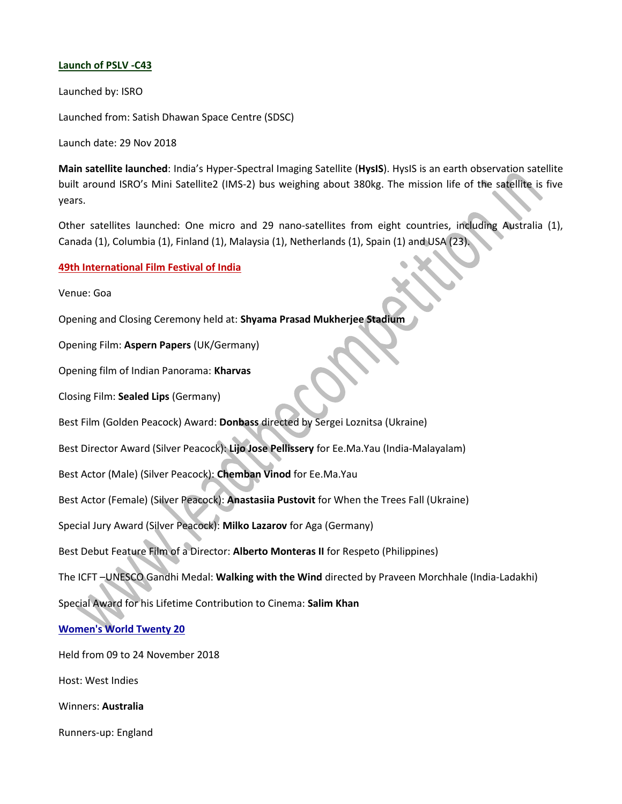### **Launch of PSLV -C43**

Launched by: ISRO

Launched from: Satish Dhawan Space Centre (SDSC)

Launch date: 29 Nov 2018

**Main satellite launched**: India's Hyper-Spectral Imaging Satellite (**HysIS**). HysIS is an earth observation satellite built around ISRO's Mini Satellite2 (IMS-2) bus weighing about 380kg. The mission life of the satellite is five years.

Other satellites launched: One micro and 29 nano-satellites from eight countries, including Australia (1), Canada (1), Columbia (1), Finland (1), Malaysia (1), Netherlands (1), Spain (1) and USA (23).

**49th International Film Festival of India**

Venue: Goa

Opening and Closing Ceremony held at: **Shyama Prasad Mukherjee Stadium**

Opening Film: **Aspern Papers** (UK/Germany)

Opening film of Indian Panorama: **Kharvas**

Closing Film: **Sealed Lips** (Germany)

Best Film (Golden Peacock) Award: **Donbass** directed by Sergei Loznitsa (Ukraine)

Best Director Award (Silver Peacock): **Lijo Jose Pellissery** for Ee.Ma.Yau (India-Malayalam)

Best Actor (Male) (Silver Peacock): **Chemban Vinod** for Ee.Ma.Yau

Best Actor (Female) (Silver Peacock): **Anastasiia Pustovit** for When the Trees Fall (Ukraine)

Special Jury Award (Silver Peacock): **Milko Lazarov** for Aga (Germany)

Best Debut Feature Film of a Director: **Alberto Monteras II** for Respeto (Philippines)

The ICFT –UNESCO Gandhi Medal: **Walking with the Wind** directed by Praveen Morchhale (India-Ladakhi)

Special Award for his Lifetime Contribution to Cinema: **Salim Khan**

**Women's World Twenty 20**

Held from 09 to 24 November 2018

Host: West Indies

Winners: **Australia**

Runners-up: England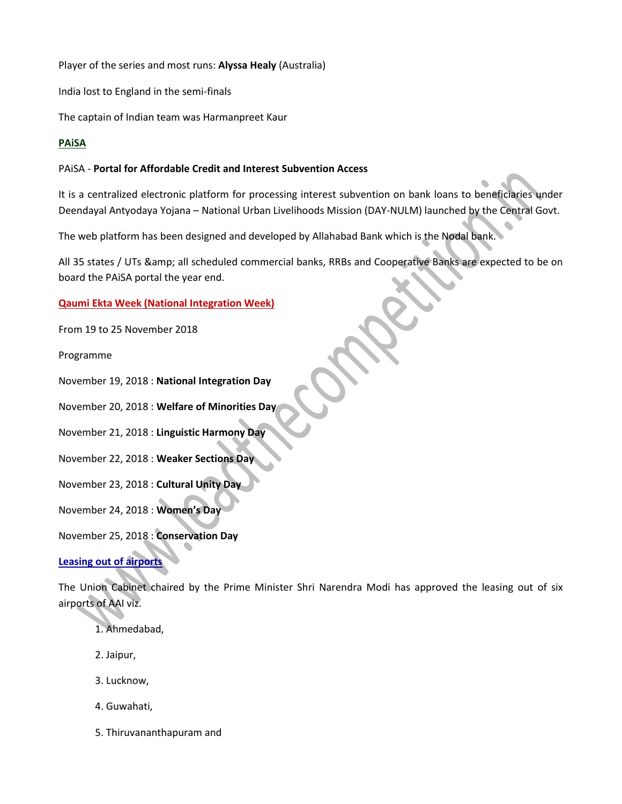Player of the series and most runs: **Alyssa Healy** (Australia)

India lost to England in the semi-finals

The captain of Indian team was Harmanpreet Kaur

## **PAiSA**

## PAiSA - **Portal for Affordable Credit and Interest Subvention Access**

It is a centralized electronic platform for processing interest subvention on bank loans to beneficiaries under Deendayal Antyodaya Yojana – National Urban Livelihoods Mission (DAY-NULM) launched by the Central Govt.

The web platform has been designed and developed by Allahabad Bank which is the Nodal bank.

All 35 states / UTs & amp; all scheduled commercial banks, RRBs and Cooperative Banks are expected to be on board the PAiSA portal the year end.

## **Qaumi Ekta Week (National Integration Week)**

From 19 to 25 November 2018

Programme

November 19, 2018 : **National Integration Day**

November 20, 2018 : **Welfare of Minorities Day**

November 21, 2018 : **Linguistic Harmony Day**

November 22, 2018 : **Weaker Sections Day**

November 23, 2018 : **Cultural Unity Day**

November 24, 2018 : **Women's Day**

November 25, 2018 : **Conservation Day**

## **Leasing out of airports**

The Union Cabinet chaired by the Prime Minister Shri Narendra Modi has approved the leasing out of six airports of AAI viz.

- 1. Ahmedabad,
- 2. Jaipur,
- 3. Lucknow,
- 4. Guwahati,
- 5. Thiruvananthapuram and